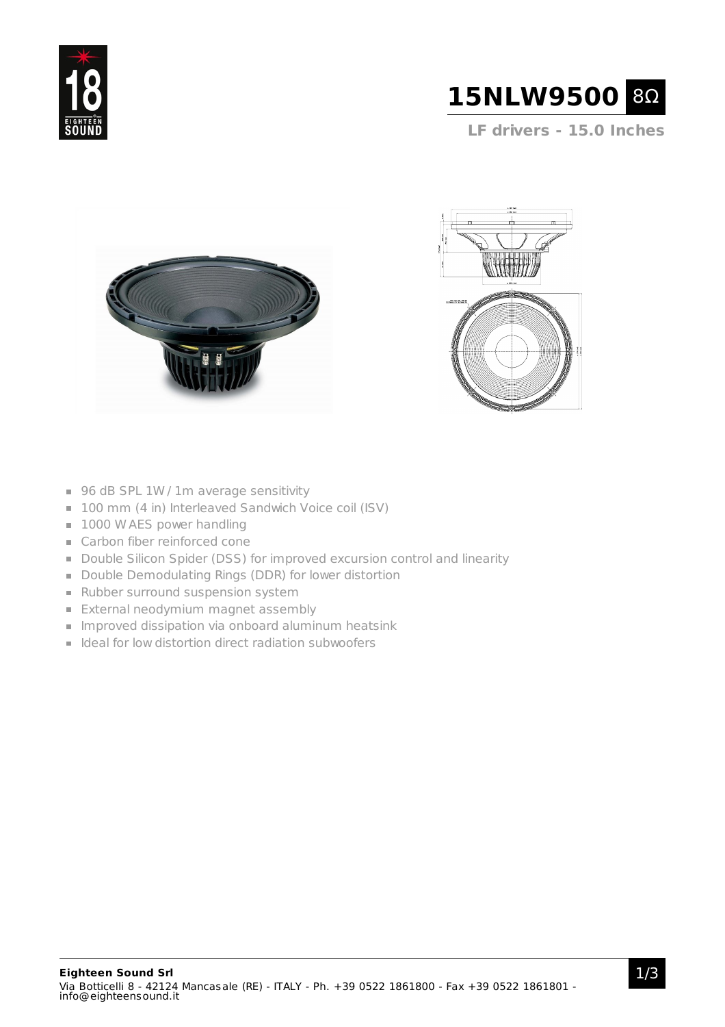



**LF drivers - 15.0 Inches**





- 96 dB SPL 1W / 1m average sensitivity
- 100 mm (4 in) Interleaved Sandwich Voice coil (ISV)
- 1000 W AES power handling
- Carbon fiber reinforced cone
- Double Silicon Spider (DSS) for improved excursion control and linearity
- Double Demodulating Rings (DDR) for lower distortion
- Rubber surround suspension system
- **External neodymium magnet assembly**
- **Improved dissipation via onboard aluminum heatsink**
- I Ideal for low distortion direct radiation subwoofers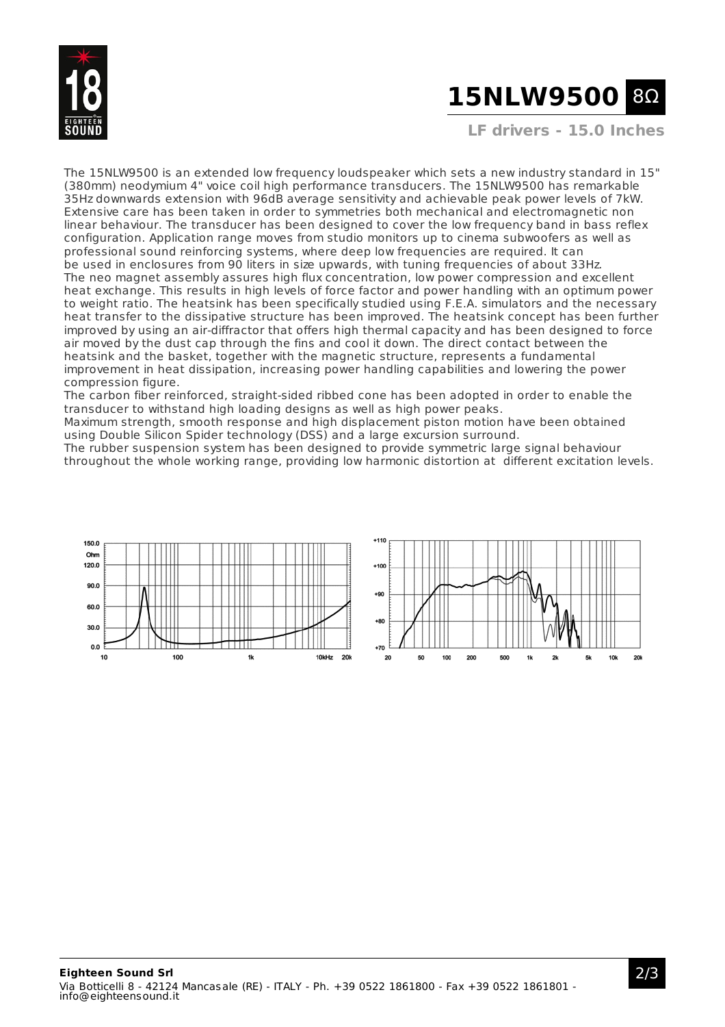

# **15NLW9500** 8Ω

**LF drivers - 15.0 Inches**

The 15NLW9500 is an extended low frequency loudspeaker which sets a new industry standard in 15" (380mm) neodymium 4" voice coil high performance transducers. The 15NLW9500 has remarkable 35Hz downwards extension with 96dB average sensitivity and achievable peak power levels of 7kW. Extensive care has been taken in order to symmetries both mechanical and electromagnetic non linear behaviour. The transducer has been designed to cover the low frequency band in bass reflex configuration. Application range moves from studio monitors up to cinema subwoofers as well as professional sound reinforcing systems, where deep low frequencies are required. It can be used in enclosures from 90 liters in size upwards, with tuning frequencies of about 33Hz. The neo magnet assembly assures high flux concentration, low power compression and excellent heat exchange. This results in high levels of force factor and power handling with an optimum power to weight ratio. The heatsink has been specifically studied using F.E.A. simulators and the necessary heat transfer to the dissipative structure has been improved. The heatsink concept has been further improved by using an air-diffractor that offers high thermal capacity and has been designed to force air moved by the dust cap through the fins and cool it down. The direct contact between the heatsink and the basket, together with the magnetic structure, represents a fundamental improvement in heat dissipation, increasing power handling capabilities and lowering the power compression figure.

The carbon fiber reinforced, straight-sided ribbed cone has been adopted in order to enable the transducer to withstand high loading designs as well as high power peaks.

Maximum strength, smooth response and high displacement piston motion have been obtained using Double Silicon Spider technology (DSS) and a large excursion surround.

The rubber suspension system has been designed to provide symmetric large signal behaviour throughout the whole working range, providing low harmonic distortion at different excitation levels.